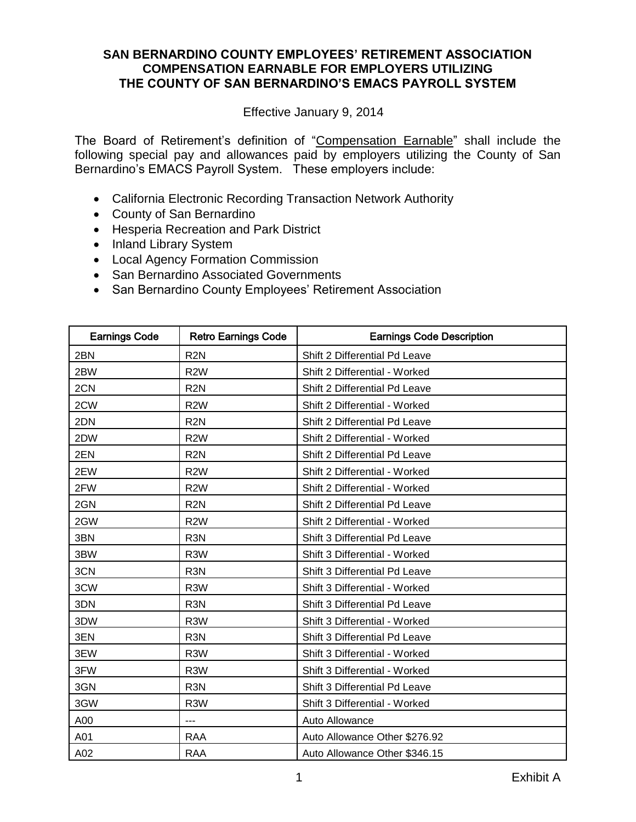Effective January 9, 2014

The Board of Retirement's definition of "Compensation Earnable" shall include the following special pay and allowances paid by employers utilizing the County of San Bernardino's EMACS Payroll System. These employers include:

- California Electronic Recording Transaction Network Authority
- County of San Bernardino
- **Hesperia Recreation and Park District**
- Inland Library System
- Local Agency Formation Commission
- San Bernardino Associated Governments
- San Bernardino County Employees' Retirement Association

| <b>Earnings Code</b> | <b>Retro Earnings Code</b> | <b>Earnings Code Description</b> |
|----------------------|----------------------------|----------------------------------|
| 2BN                  | R <sub>2N</sub>            | Shift 2 Differential Pd Leave    |
| 2BW                  | R <sub>2</sub> W           | Shift 2 Differential - Worked    |
| 2CN                  | R <sub>2N</sub>            | Shift 2 Differential Pd Leave    |
| 2CW                  | R <sub>2</sub> W           | Shift 2 Differential - Worked    |
| 2DN                  | R <sub>2N</sub>            | Shift 2 Differential Pd Leave    |
| 2DW                  | R <sub>2</sub> W           | Shift 2 Differential - Worked    |
| 2EN                  | R <sub>2N</sub>            | Shift 2 Differential Pd Leave    |
| 2EW                  | R <sub>2</sub> W           | Shift 2 Differential - Worked    |
| 2FW                  | R <sub>2</sub> W           | Shift 2 Differential - Worked    |
| 2GN                  | R <sub>2N</sub>            | Shift 2 Differential Pd Leave    |
| 2GW                  | R <sub>2</sub> W           | Shift 2 Differential - Worked    |
| 3BN                  | R <sub>3</sub> N           | Shift 3 Differential Pd Leave    |
| 3BW                  | R <sub>3</sub> W           | Shift 3 Differential - Worked    |
| 3CN                  | R <sub>3</sub> N           | Shift 3 Differential Pd Leave    |
| 3CW                  | R <sub>3</sub> W           | Shift 3 Differential - Worked    |
| 3DN                  | R <sub>3</sub> N           | Shift 3 Differential Pd Leave    |
| 3DW                  | R <sub>3</sub> W           | Shift 3 Differential - Worked    |
| 3EN                  | R <sub>3</sub> N           | Shift 3 Differential Pd Leave    |
| 3EW                  | R <sub>3</sub> W           | Shift 3 Differential - Worked    |
| 3FW                  | R <sub>3</sub> W           | Shift 3 Differential - Worked    |
| 3GN                  | R <sub>3</sub> N           | Shift 3 Differential Pd Leave    |
| 3GW                  | R <sub>3</sub> W           | Shift 3 Differential - Worked    |
| A00                  | ---                        | Auto Allowance                   |
| A01                  | <b>RAA</b>                 | Auto Allowance Other \$276.92    |
| A02                  | <b>RAA</b>                 | Auto Allowance Other \$346.15    |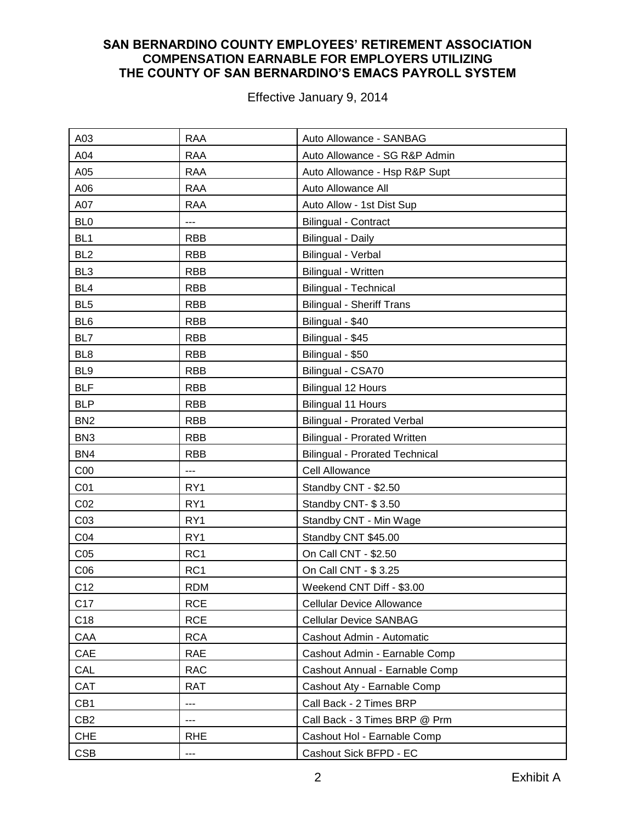| A03             | <b>RAA</b>      | Auto Allowance - SANBAG               |
|-----------------|-----------------|---------------------------------------|
| A04             | <b>RAA</b>      | Auto Allowance - SG R&P Admin         |
| A05             | <b>RAA</b>      | Auto Allowance - Hsp R&P Supt         |
| A06             | <b>RAA</b>      | Auto Allowance All                    |
| A07             | <b>RAA</b>      | Auto Allow - 1st Dist Sup             |
| BL <sub>0</sub> | ---             | <b>Bilingual - Contract</b>           |
| BL <sub>1</sub> | <b>RBB</b>      | <b>Bilingual - Daily</b>              |
| BL <sub>2</sub> | <b>RBB</b>      | Bilingual - Verbal                    |
| BL <sub>3</sub> | <b>RBB</b>      | <b>Bilingual - Written</b>            |
| BL <sub>4</sub> | <b>RBB</b>      | <b>Bilingual - Technical</b>          |
| BL <sub>5</sub> | <b>RBB</b>      | <b>Bilingual - Sheriff Trans</b>      |
| BL <sub>6</sub> | <b>RBB</b>      | Bilingual - \$40                      |
| BL7             | <b>RBB</b>      | Bilingual - \$45                      |
| BL <sub>8</sub> | <b>RBB</b>      | Bilingual - \$50                      |
| BL <sub>9</sub> | <b>RBB</b>      | Bilingual - CSA70                     |
| <b>BLF</b>      | <b>RBB</b>      | <b>Bilingual 12 Hours</b>             |
| <b>BLP</b>      | <b>RBB</b>      | <b>Bilingual 11 Hours</b>             |
| BN <sub>2</sub> | <b>RBB</b>      | <b>Bilingual - Prorated Verbal</b>    |
| BN <sub>3</sub> | <b>RBB</b>      | <b>Bilingual - Prorated Written</b>   |
| BN4             | <b>RBB</b>      | <b>Bilingual - Prorated Technical</b> |
| C <sub>00</sub> | ---             | <b>Cell Allowance</b>                 |
| CO <sub>1</sub> | RY1             | Standby CNT - \$2.50                  |
| CO <sub>2</sub> | RY1             | Standby CNT-\$3.50                    |
| CO <sub>3</sub> | RY1             | Standby CNT - Min Wage                |
| CO <sub>4</sub> | RY1             | Standby CNT \$45.00                   |
| C <sub>05</sub> | RC <sub>1</sub> | On Call CNT - \$2.50                  |
| CO6             | RC1             | On Call CNT - \$3.25                  |
| C12             | <b>RDM</b>      | Weekend CNT Diff - \$3.00             |
| C17             | <b>RCE</b>      | <b>Cellular Device Allowance</b>      |
| C18             | <b>RCE</b>      | <b>Cellular Device SANBAG</b>         |
| CAA             | <b>RCA</b>      | Cashout Admin - Automatic             |
| CAE             | <b>RAE</b>      | Cashout Admin - Earnable Comp         |
| CAL             | <b>RAC</b>      | Cashout Annual - Earnable Comp        |
| CAT             | <b>RAT</b>      | Cashout Aty - Earnable Comp           |
| CB1             | ---             | Call Back - 2 Times BRP               |
| CB <sub>2</sub> | ---             | Call Back - 3 Times BRP @ Prm         |
| <b>CHE</b>      | <b>RHE</b>      | Cashout Hol - Earnable Comp           |
| <b>CSB</b>      | ---             | Cashout Sick BFPD - EC                |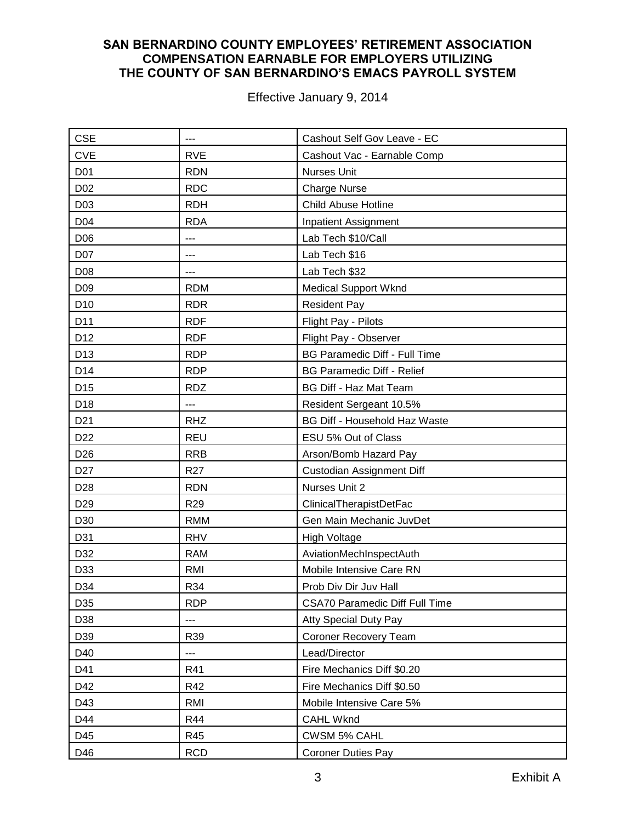| <b>CSE</b>      | ---             | Cashout Self Gov Leave - EC           |
|-----------------|-----------------|---------------------------------------|
| <b>CVE</b>      | <b>RVE</b>      | Cashout Vac - Earnable Comp           |
| D01             | <b>RDN</b>      | <b>Nurses Unit</b>                    |
| D02             | <b>RDC</b>      | <b>Charge Nurse</b>                   |
| D03             | <b>RDH</b>      | Child Abuse Hotline                   |
| D04             | <b>RDA</b>      | <b>Inpatient Assignment</b>           |
| D06             | ---             | Lab Tech \$10/Call                    |
| D07             | ---             | Lab Tech \$16                         |
| D08             | ---             | Lab Tech \$32                         |
| D <sub>09</sub> | <b>RDM</b>      | <b>Medical Support Wknd</b>           |
| D <sub>10</sub> | <b>RDR</b>      | <b>Resident Pay</b>                   |
| D11             | <b>RDF</b>      | Flight Pay - Pilots                   |
| D12             | <b>RDF</b>      | Flight Pay - Observer                 |
| D13             | <b>RDP</b>      | <b>BG Paramedic Diff - Full Time</b>  |
| D14             | <b>RDP</b>      | <b>BG Paramedic Diff - Relief</b>     |
| D <sub>15</sub> | <b>RDZ</b>      | <b>BG Diff - Haz Mat Team</b>         |
| D18             | ---             | Resident Sergeant 10.5%               |
| D <sub>21</sub> | <b>RHZ</b>      | <b>BG Diff - Household Haz Waste</b>  |
| D <sub>22</sub> | <b>REU</b>      | ESU 5% Out of Class                   |
| D <sub>26</sub> | <b>RRB</b>      | Arson/Bomb Hazard Pay                 |
| D <sub>27</sub> | R <sub>27</sub> | Custodian Assignment Diff             |
| D <sub>28</sub> | <b>RDN</b>      | Nurses Unit 2                         |
| D <sub>29</sub> | R <sub>29</sub> | ClinicalTherapistDetFac               |
| D30             | <b>RMM</b>      | Gen Main Mechanic JuvDet              |
| D31             | <b>RHV</b>      | <b>High Voltage</b>                   |
| D32             | <b>RAM</b>      | AviationMechInspectAuth               |
| D33             | <b>RMI</b>      | Mobile Intensive Care RN              |
| D34             | R34             | Prob Div Dir Juv Hall                 |
| D35             | <b>RDP</b>      | <b>CSA70 Paramedic Diff Full Time</b> |
| D38             | ---             | <b>Atty Special Duty Pay</b>          |
| D39             | R39             | Coroner Recovery Team                 |
| D40             | ---             | Lead/Director                         |
| D41             | R41             | Fire Mechanics Diff \$0.20            |
| D42             | R42             | Fire Mechanics Diff \$0.50            |
| D43             | RMI             | Mobile Intensive Care 5%              |
| D44             | <b>R44</b>      | <b>CAHL Wknd</b>                      |
| D45             | R45             | CWSM 5% CAHL                          |
| D46             | <b>RCD</b>      | <b>Coroner Duties Pay</b>             |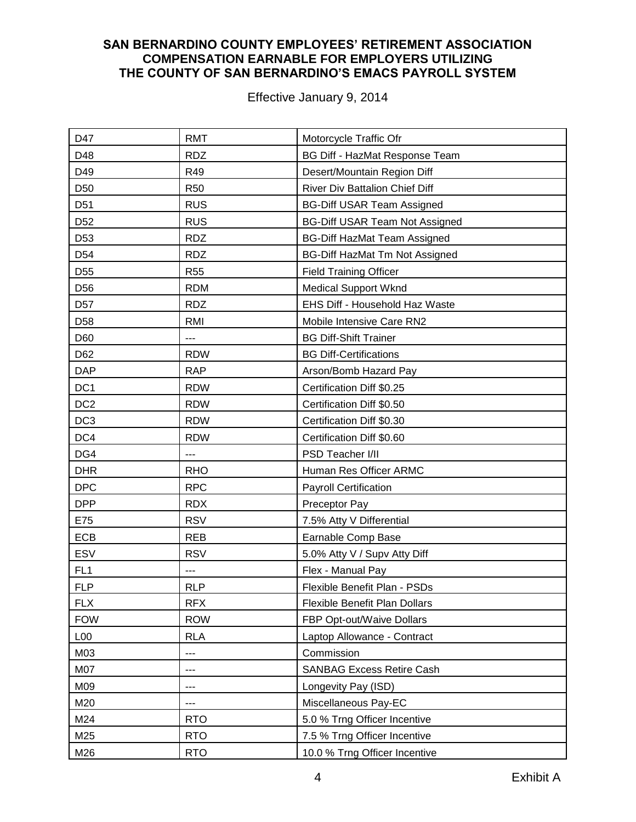| D47             | <b>RMT</b> | Motorcycle Traffic Ofr                |
|-----------------|------------|---------------------------------------|
| D48             | <b>RDZ</b> | BG Diff - HazMat Response Team        |
| D49             | R49        | Desert/Mountain Region Diff           |
| D <sub>50</sub> | <b>R50</b> | <b>River Div Battalion Chief Diff</b> |
| D <sub>51</sub> | <b>RUS</b> | <b>BG-Diff USAR Team Assigned</b>     |
| D <sub>52</sub> | <b>RUS</b> | <b>BG-Diff USAR Team Not Assigned</b> |
| D <sub>53</sub> | <b>RDZ</b> | <b>BG-Diff HazMat Team Assigned</b>   |
| D <sub>54</sub> | <b>RDZ</b> | <b>BG-Diff HazMat Tm Not Assigned</b> |
| D <sub>55</sub> | <b>R55</b> | <b>Field Training Officer</b>         |
| D <sub>56</sub> | <b>RDM</b> | Medical Support Wknd                  |
| D <sub>57</sub> | <b>RDZ</b> | EHS Diff - Household Haz Waste        |
| D <sub>58</sub> | <b>RMI</b> | Mobile Intensive Care RN2             |
| D60             | ---        | <b>BG Diff-Shift Trainer</b>          |
| D62             | <b>RDW</b> | <b>BG Diff-Certifications</b>         |
| <b>DAP</b>      | <b>RAP</b> | Arson/Bomb Hazard Pay                 |
| DC <sub>1</sub> | <b>RDW</b> | Certification Diff \$0.25             |
| DC <sub>2</sub> | <b>RDW</b> | Certification Diff \$0.50             |
| DC <sub>3</sub> | <b>RDW</b> | Certification Diff \$0.30             |
| DC4             | <b>RDW</b> | Certification Diff \$0.60             |
| DG4             | ---        | PSD Teacher I/II                      |
| <b>DHR</b>      | <b>RHO</b> | Human Res Officer ARMC                |
| <b>DPC</b>      | <b>RPC</b> | <b>Payroll Certification</b>          |
| <b>DPP</b>      | <b>RDX</b> | Preceptor Pay                         |
| E75             | <b>RSV</b> | 7.5% Atty V Differential              |
| ECB             | <b>REB</b> | Earnable Comp Base                    |
| ESV             | <b>RSV</b> | 5.0% Atty V / Supv Atty Diff          |
| FL <sub>1</sub> | ---        | Flex - Manual Pay                     |
| <b>FLP</b>      | <b>RLP</b> | Flexible Benefit Plan - PSDs          |
| <b>FLX</b>      | <b>RFX</b> | Flexible Benefit Plan Dollars         |
| <b>FOW</b>      | <b>ROW</b> | FBP Opt-out/Waive Dollars             |
| L <sub>00</sub> | <b>RLA</b> | Laptop Allowance - Contract           |
| M03             | ---        | Commission                            |
| M07             | ---        | <b>SANBAG Excess Retire Cash</b>      |
| M09             | ---        | Longevity Pay (ISD)                   |
| M20             | ---        | Miscellaneous Pay-EC                  |
| M24             | <b>RTO</b> | 5.0 % Trng Officer Incentive          |
| M25             | <b>RTO</b> | 7.5 % Trng Officer Incentive          |
| M26             | <b>RTO</b> | 10.0 % Trng Officer Incentive         |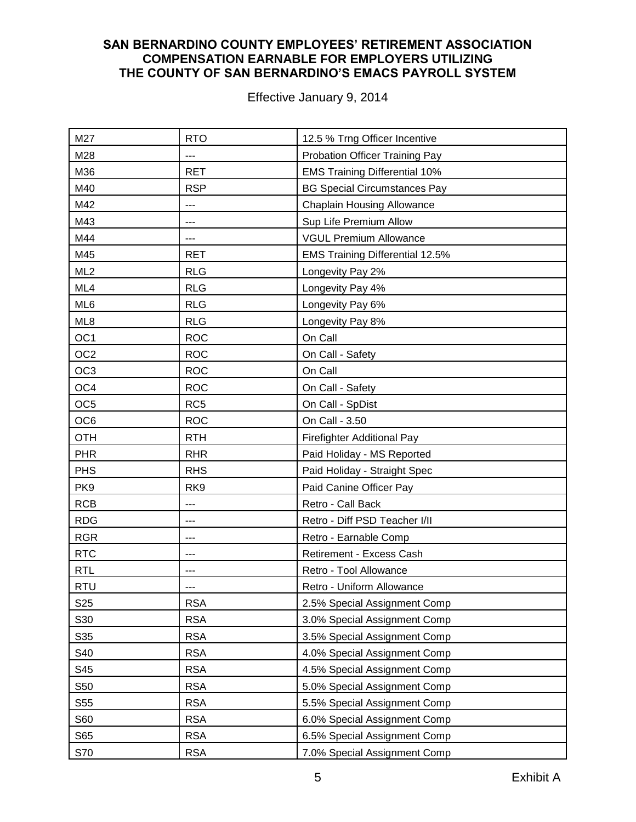| M27             | <b>RTO</b>      | 12.5 % Trng Officer Incentive          |
|-----------------|-----------------|----------------------------------------|
| M28             | ---             | Probation Officer Training Pay         |
| M36             | <b>RET</b>      | <b>EMS Training Differential 10%</b>   |
| M40             | <b>RSP</b>      | <b>BG Special Circumstances Pay</b>    |
| M42             | ---             | <b>Chaplain Housing Allowance</b>      |
| M43             | ---             | Sup Life Premium Allow                 |
| M44             | ---             | <b>VGUL Premium Allowance</b>          |
| M45             | <b>RET</b>      | <b>EMS Training Differential 12.5%</b> |
| ML <sub>2</sub> | <b>RLG</b>      | Longevity Pay 2%                       |
| ML4             | <b>RLG</b>      | Longevity Pay 4%                       |
| ML6             | <b>RLG</b>      | Longevity Pay 6%                       |
| ML8             | <b>RLG</b>      | Longevity Pay 8%                       |
| OC <sub>1</sub> | <b>ROC</b>      | On Call                                |
| OC <sub>2</sub> | <b>ROC</b>      | On Call - Safety                       |
| OC <sub>3</sub> | <b>ROC</b>      | On Call                                |
| OC4             | <b>ROC</b>      | On Call - Safety                       |
| OC <sub>5</sub> | RC <sub>5</sub> | On Call - SpDist                       |
| OC <sub>6</sub> | <b>ROC</b>      | On Call - 3.50                         |
| <b>OTH</b>      | <b>RTH</b>      | Firefighter Additional Pay             |
| <b>PHR</b>      | <b>RHR</b>      | Paid Holiday - MS Reported             |
| <b>PHS</b>      | <b>RHS</b>      | Paid Holiday - Straight Spec           |
| PK9             | RK <sub>9</sub> | Paid Canine Officer Pay                |
| <b>RCB</b>      | ---             | Retro - Call Back                      |
| <b>RDG</b>      | ---             | Retro - Diff PSD Teacher I/II          |
| <b>RGR</b>      | ---             | Retro - Earnable Comp                  |
| <b>RTC</b>      | ---             | Retirement - Excess Cash               |
| <b>RTL</b>      | ---             | Retro - Tool Allowance                 |
| <b>RTU</b>      | $---$           | Retro - Uniform Allowance              |
| S <sub>25</sub> | <b>RSA</b>      | 2.5% Special Assignment Comp           |
| S30             | <b>RSA</b>      | 3.0% Special Assignment Comp           |
| S35             | <b>RSA</b>      | 3.5% Special Assignment Comp           |
| S40             | <b>RSA</b>      | 4.0% Special Assignment Comp           |
| S45             | <b>RSA</b>      | 4.5% Special Assignment Comp           |
| S50             | <b>RSA</b>      | 5.0% Special Assignment Comp           |
| S55             | <b>RSA</b>      | 5.5% Special Assignment Comp           |
| S60             | <b>RSA</b>      | 6.0% Special Assignment Comp           |
| S65             | <b>RSA</b>      | 6.5% Special Assignment Comp           |
| S70             | <b>RSA</b>      | 7.0% Special Assignment Comp           |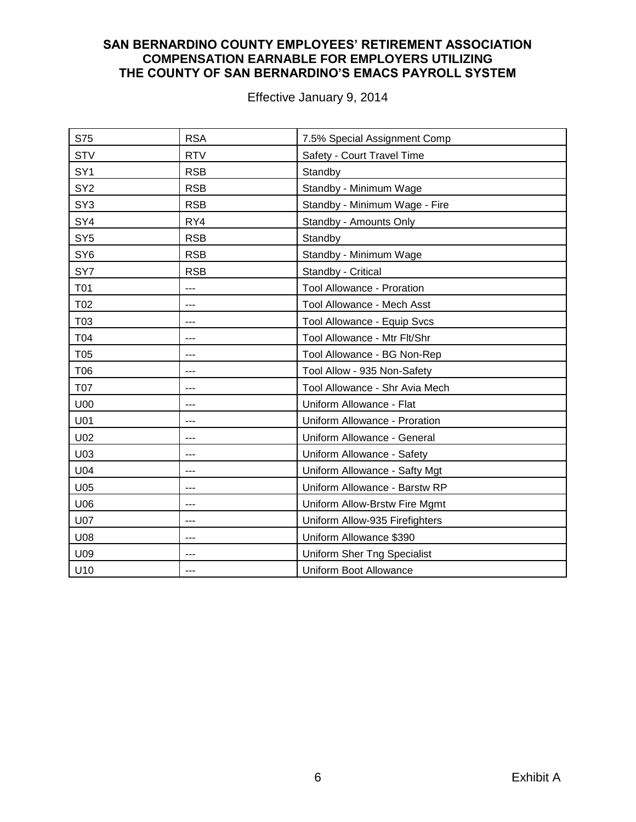| S75             | <b>RSA</b> | 7.5% Special Assignment Comp   |
|-----------------|------------|--------------------------------|
| <b>STV</b>      | <b>RTV</b> | Safety - Court Travel Time     |
| SY <sub>1</sub> | <b>RSB</b> | Standby                        |
| SY <sub>2</sub> | <b>RSB</b> | Standby - Minimum Wage         |
| SY <sub>3</sub> | <b>RSB</b> | Standby - Minimum Wage - Fire  |
| SY4             | RY4        | Standby - Amounts Only         |
| SY <sub>5</sub> | <b>RSB</b> | Standby                        |
| SY <sub>6</sub> | <b>RSB</b> | Standby - Minimum Wage         |
| SY7             | <b>RSB</b> | Standby - Critical             |
| <b>T01</b>      | ---        | Tool Allowance - Proration     |
| T02             | ---        | Tool Allowance - Mech Asst     |
| T03             | ---        | Tool Allowance - Equip Svcs    |
| T04             | ---        | Tool Allowance - Mtr Flt/Shr   |
| T05             | ---        | Tool Allowance - BG Non-Rep    |
| T06             | $- - -$    | Tool Allow - 935 Non-Safety    |
| <b>T07</b>      | ---        | Tool Allowance - Shr Avia Mech |
| U00             | ---        | Uniform Allowance - Flat       |
| U01             | ---        | Uniform Allowance - Proration  |
| U02             | ---        | Uniform Allowance - General    |
| U03             | ---        | Uniform Allowance - Safety     |
| U04             | ---        | Uniform Allowance - Safty Mgt  |
| U05             | ---        | Uniform Allowance - Barstw RP  |
| U06             | ---        | Uniform Allow-Brstw Fire Mgmt  |
| <b>U07</b>      | ---        | Uniform Allow-935 Firefighters |
| U08             | $---$      | Uniform Allowance \$390        |
| U09             | ---        | Uniform Sher Tng Specialist    |
| U10             | ---        | Uniform Boot Allowance         |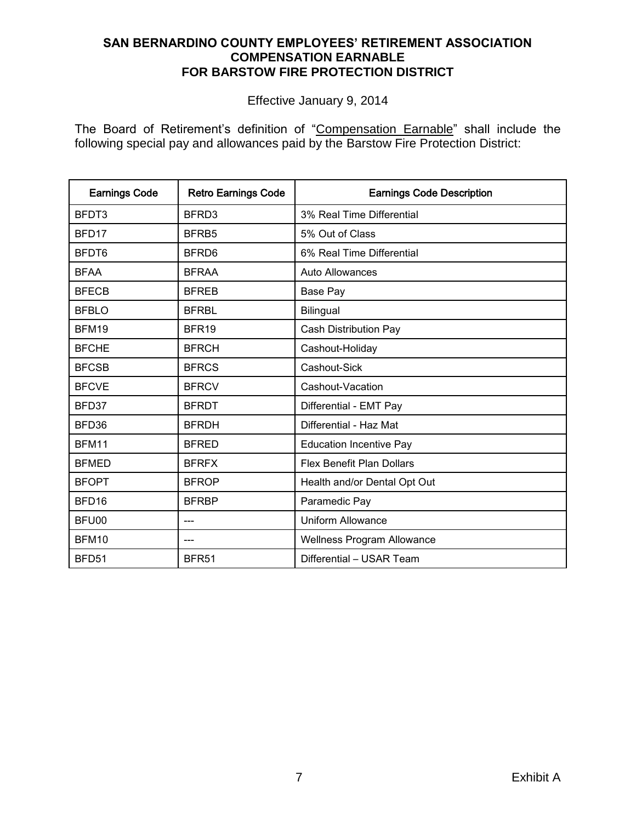# **SAN BERNARDINO COUNTY EMPLOYEES' RETIREMENT ASSOCIATION COMPENSATION EARNABLE FOR BARSTOW FIRE PROTECTION DISTRICT**

Effective January 9, 2014

The Board of Retirement's definition of "Compensation Earnable" shall include the following special pay and allowances paid by the Barstow Fire Protection District:

| <b>Earnings Code</b> | <b>Retro Earnings Code</b> | <b>Earnings Code Description</b>  |
|----------------------|----------------------------|-----------------------------------|
| BFDT3                | BFRD3                      | 3% Real Time Differential         |
| BFD <sub>17</sub>    | BFRB5                      | 5% Out of Class                   |
| BFDT6                | BFRD6                      | 6% Real Time Differential         |
| <b>BFAA</b>          | <b>BFRAA</b>               | Auto Allowances                   |
| <b>BFECB</b>         | <b>BFREB</b>               | Base Pay                          |
| <b>BFBLO</b>         | <b>BFRBL</b>               | Bilingual                         |
| BFM19                | BFR <sub>19</sub>          | Cash Distribution Pay             |
| <b>BFCHE</b>         | <b>BFRCH</b>               | Cashout-Holiday                   |
| <b>BFCSB</b>         | <b>BFRCS</b>               | Cashout-Sick                      |
| <b>BFCVE</b>         | <b>BFRCV</b>               | Cashout-Vacation                  |
| BFD37                | <b>BFRDT</b>               | Differential - EMT Pay            |
| BFD36                | <b>BFRDH</b>               | Differential - Haz Mat            |
| BFM11                | <b>BFRED</b>               | <b>Education Incentive Pay</b>    |
| <b>BFMED</b>         | <b>BFRFX</b>               | Flex Benefit Plan Dollars         |
| <b>BFOPT</b>         | <b>BFROP</b>               | Health and/or Dental Opt Out      |
| BFD16                | <b>BFRBP</b>               | Paramedic Pay                     |
| BFU00                |                            | <b>Uniform Allowance</b>          |
| <b>BFM10</b>         | ---                        | <b>Wellness Program Allowance</b> |
| BFD51                | BFR <sub>51</sub>          | Differential - USAR Team          |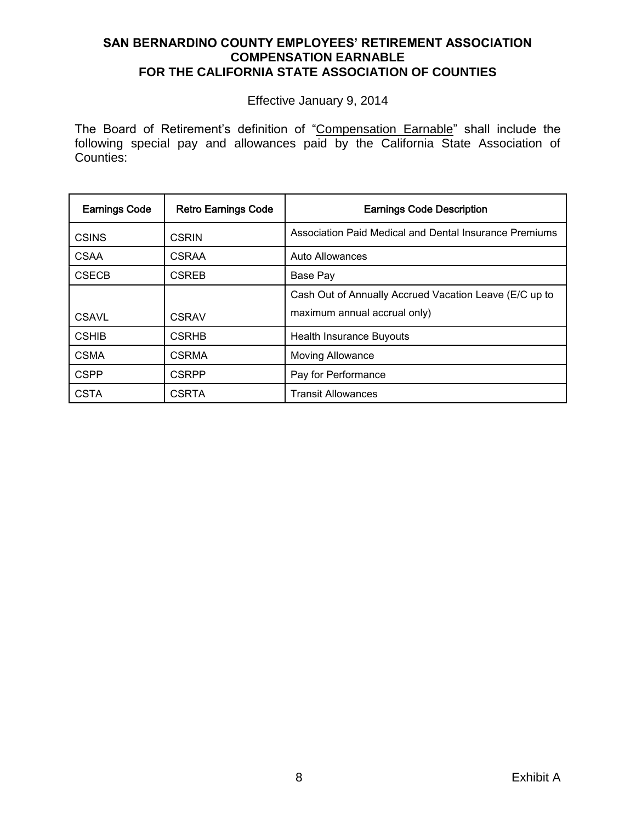#### **SAN BERNARDINO COUNTY EMPLOYEES' RETIREMENT ASSOCIATION COMPENSATION EARNABLE FOR THE CALIFORNIA STATE ASSOCIATION OF COUNTIES**

Effective January 9, 2014

The Board of Retirement's definition of "Compensation Earnable" shall include the following special pay and allowances paid by the California State Association of Counties:

| <b>Earnings Code</b> | <b>Retro Earnings Code</b> | <b>Earnings Code Description</b>                       |
|----------------------|----------------------------|--------------------------------------------------------|
| <b>CSINS</b>         | <b>CSRIN</b>               | Association Paid Medical and Dental Insurance Premiums |
| <b>CSAA</b>          | <b>CSRAA</b>               | Auto Allowances                                        |
| <b>CSECB</b>         | <b>CSREB</b>               | Base Pay                                               |
|                      |                            | Cash Out of Annually Accrued Vacation Leave (E/C up to |
| <b>CSAVL</b>         | <b>CSRAV</b>               | maximum annual accrual only)                           |
| <b>CSHIB</b>         | <b>CSRHB</b>               | <b>Health Insurance Buyouts</b>                        |
| <b>CSMA</b>          | <b>CSRMA</b>               | <b>Moving Allowance</b>                                |
| <b>CSPP</b>          | <b>CSRPP</b>               | Pay for Performance                                    |
| <b>CSTA</b>          | <b>CSRTA</b>               | <b>Transit Allowances</b>                              |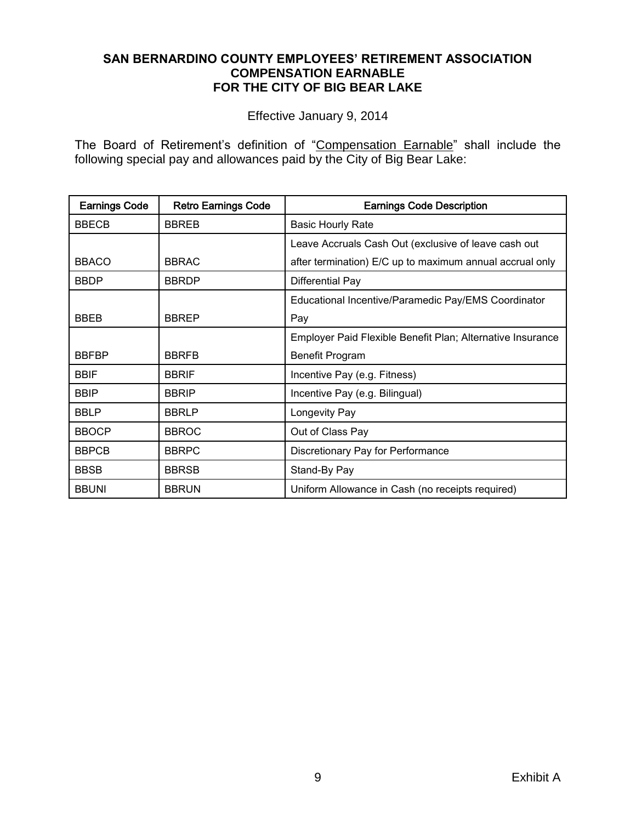#### **SAN BERNARDINO COUNTY EMPLOYEES' RETIREMENT ASSOCIATION COMPENSATION EARNABLE FOR THE CITY OF BIG BEAR LAKE**

Effective January 9, 2014

The Board of Retirement's definition of "Compensation Earnable" shall include the following special pay and allowances paid by the City of Big Bear Lake:

| <b>Earnings Code</b> | <b>Retro Earnings Code</b> | <b>Earnings Code Description</b>                           |
|----------------------|----------------------------|------------------------------------------------------------|
| <b>BBECB</b>         | <b>BBREB</b>               | <b>Basic Hourly Rate</b>                                   |
|                      |                            | Leave Accruals Cash Out (exclusive of leave cash out       |
| <b>BBACO</b>         | <b>BBRAC</b>               | after termination) E/C up to maximum annual accrual only   |
| <b>BBDP</b>          | <b>BBRDP</b>               | Differential Pay                                           |
|                      |                            | Educational Incentive/Paramedic Pay/EMS Coordinator        |
| <b>BBFB</b>          | <b>BBREP</b>               | Pay                                                        |
|                      |                            | Employer Paid Flexible Benefit Plan; Alternative Insurance |
| <b>BBFBP</b>         | <b>BBRFB</b>               | Benefit Program                                            |
| <b>BBIF</b>          | <b>BBRIF</b>               | Incentive Pay (e.g. Fitness)                               |
| <b>BBIP</b>          | <b>BBRIP</b>               | Incentive Pay (e.g. Bilingual)                             |
| <b>BBLP</b>          | <b>BBRLP</b>               | Longevity Pay                                              |
| <b>BBOCP</b>         | <b>BBROC</b>               | Out of Class Pay                                           |
| <b>BBPCB</b>         | <b>BBRPC</b>               | Discretionary Pay for Performance                          |
| <b>BBSB</b>          | <b>BBRSB</b>               | Stand-By Pay                                               |
| <b>BBUNI</b>         | <b>BBRUN</b>               | Uniform Allowance in Cash (no receipts required)           |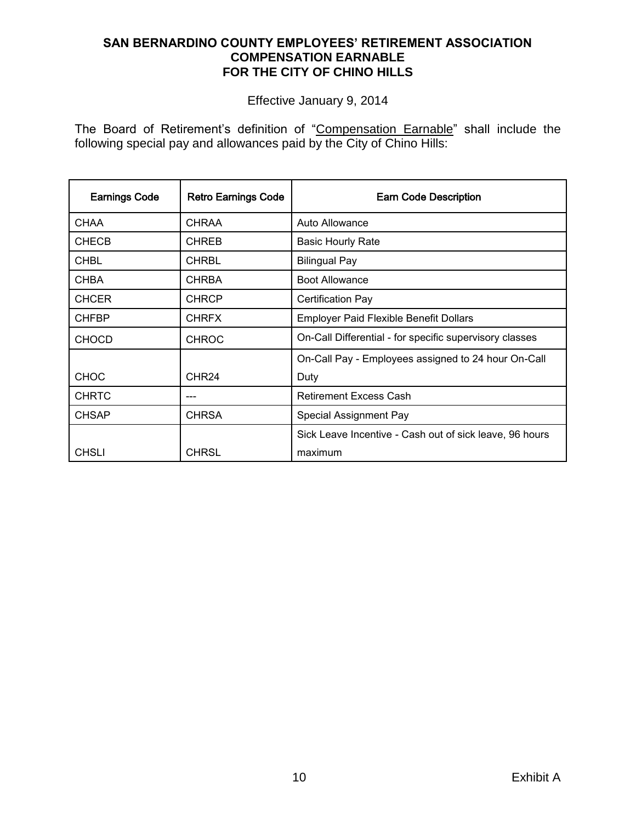# **SAN BERNARDINO COUNTY EMPLOYEES' RETIREMENT ASSOCIATION COMPENSATION EARNABLE FOR THE CITY OF CHINO HILLS**

Effective January 9, 2014

The Board of Retirement's definition of "Compensation Earnable" shall include the following special pay and allowances paid by the City of Chino Hills:

| <b>Earnings Code</b> | <b>Retro Earnings Code</b> | <b>Earn Code Description</b>                            |
|----------------------|----------------------------|---------------------------------------------------------|
| <b>CHAA</b>          | <b>CHRAA</b>               | Auto Allowance                                          |
| <b>CHECB</b>         | <b>CHREB</b>               | <b>Basic Hourly Rate</b>                                |
| <b>CHBL</b>          | <b>CHRBL</b>               | <b>Bilingual Pay</b>                                    |
| <b>CHBA</b>          | <b>CHRBA</b>               | <b>Boot Allowance</b>                                   |
| <b>CHCER</b>         | <b>CHRCP</b>               | <b>Certification Pay</b>                                |
| <b>CHFBP</b>         | <b>CHRFX</b>               | <b>Employer Paid Flexible Benefit Dollars</b>           |
| <b>CHOCD</b>         | <b>CHROC</b>               | On-Call Differential - for specific supervisory classes |
|                      |                            | On-Call Pay - Employees assigned to 24 hour On-Call     |
| <b>CHOC</b>          | CHR <sub>24</sub>          | Duty                                                    |
| <b>CHRTC</b>         | ---                        | <b>Retirement Excess Cash</b>                           |
| <b>CHSAP</b>         | <b>CHRSA</b>               | Special Assignment Pay                                  |
|                      |                            | Sick Leave Incentive - Cash out of sick leave, 96 hours |
| <b>CHSLI</b>         | CHRSL                      | maximum                                                 |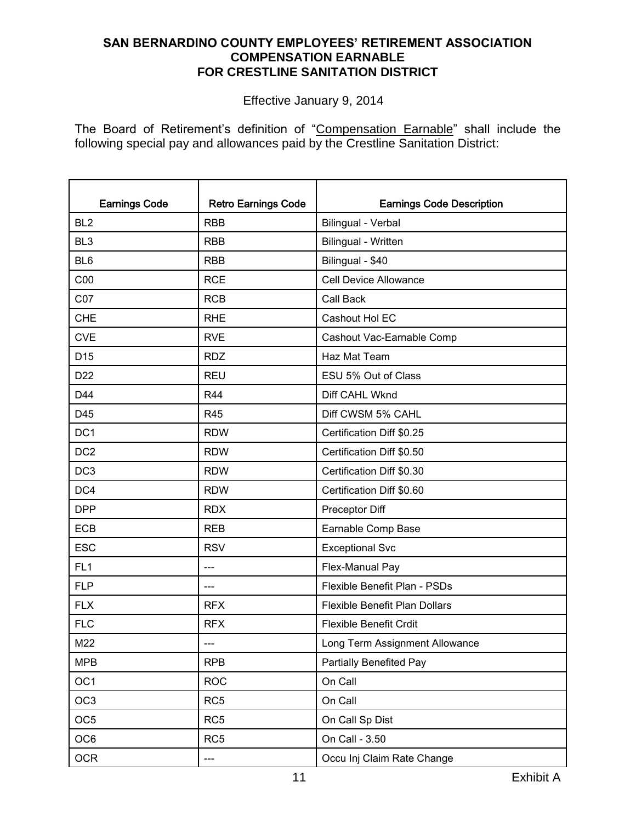# **SAN BERNARDINO COUNTY EMPLOYEES' RETIREMENT ASSOCIATION COMPENSATION EARNABLE FOR CRESTLINE SANITATION DISTRICT**

Effective January 9, 2014

The Board of Retirement's definition of "Compensation Earnable" shall include the following special pay and allowances paid by the Crestline Sanitation District:

| <b>Earnings Code</b> | <b>Retro Earnings Code</b> | <b>Earnings Code Description</b>     |
|----------------------|----------------------------|--------------------------------------|
| BL <sub>2</sub>      | <b>RBB</b>                 | Bilingual - Verbal                   |
| BL <sub>3</sub>      | <b>RBB</b>                 | Bilingual - Written                  |
| BL <sub>6</sub>      | <b>RBB</b>                 | Bilingual - \$40                     |
| C <sub>00</sub>      | <b>RCE</b>                 | <b>Cell Device Allowance</b>         |
| CO7                  | <b>RCB</b>                 | Call Back                            |
| <b>CHE</b>           | <b>RHE</b>                 | Cashout Hol EC                       |
| <b>CVE</b>           | <b>RVE</b>                 | Cashout Vac-Earnable Comp            |
| D <sub>15</sub>      | <b>RDZ</b>                 | Haz Mat Team                         |
| D <sub>22</sub>      | <b>REU</b>                 | ESU 5% Out of Class                  |
| D44                  | <b>R44</b>                 | Diff CAHL Wknd                       |
| D45                  | <b>R45</b>                 | Diff CWSM 5% CAHL                    |
| DC <sub>1</sub>      | <b>RDW</b>                 | Certification Diff \$0.25            |
| DC <sub>2</sub>      | <b>RDW</b>                 | Certification Diff \$0.50            |
| DC <sub>3</sub>      | <b>RDW</b>                 | Certification Diff \$0.30            |
| DC4                  | <b>RDW</b>                 | Certification Diff \$0.60            |
| <b>DPP</b>           | <b>RDX</b>                 | Preceptor Diff                       |
| <b>ECB</b>           | <b>REB</b>                 | Earnable Comp Base                   |
| <b>ESC</b>           | <b>RSV</b>                 | <b>Exceptional Svc</b>               |
| FL <sub>1</sub>      | $---$                      | Flex-Manual Pay                      |
| <b>FLP</b>           | $---$                      | Flexible Benefit Plan - PSDs         |
| <b>FLX</b>           | <b>RFX</b>                 | <b>Flexible Benefit Plan Dollars</b> |
| <b>FLC</b>           | <b>RFX</b>                 | <b>Flexible Benefit Crdit</b>        |
| M22                  |                            | Long Term Assignment Allowance       |
| <b>MPB</b>           | <b>RPB</b>                 | Partially Benefited Pay              |
| OC <sub>1</sub>      | <b>ROC</b>                 | On Call                              |
| OC <sub>3</sub>      | RC <sub>5</sub>            | On Call                              |
| OC <sub>5</sub>      | RC <sub>5</sub>            | On Call Sp Dist                      |
| OC6                  | RC <sub>5</sub>            | On Call - 3.50                       |
| <b>OCR</b>           | ---                        | Occu Inj Claim Rate Change           |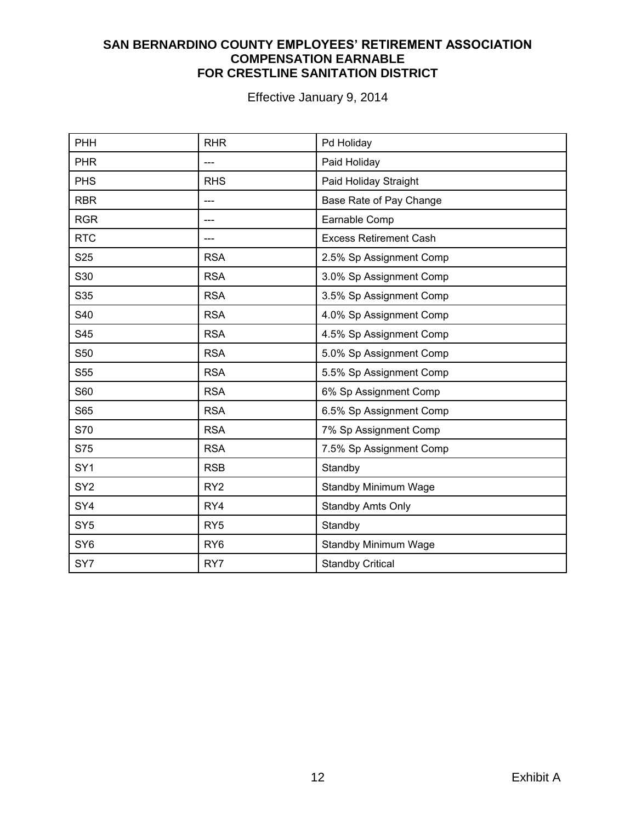# **SAN BERNARDINO COUNTY EMPLOYEES' RETIREMENT ASSOCIATION COMPENSATION EARNABLE FOR CRESTLINE SANITATION DISTRICT**

| PHH             | <b>RHR</b>      | Pd Holiday                    |
|-----------------|-----------------|-------------------------------|
| <b>PHR</b>      |                 | Paid Holiday                  |
| <b>PHS</b>      | <b>RHS</b>      | Paid Holiday Straight         |
| <b>RBR</b>      |                 | Base Rate of Pay Change       |
| <b>RGR</b>      |                 | Earnable Comp                 |
| <b>RTC</b>      |                 | <b>Excess Retirement Cash</b> |
| S <sub>25</sub> | <b>RSA</b>      | 2.5% Sp Assignment Comp       |
| S30             | <b>RSA</b>      | 3.0% Sp Assignment Comp       |
| S35             | <b>RSA</b>      | 3.5% Sp Assignment Comp       |
| S40             | <b>RSA</b>      | 4.0% Sp Assignment Comp       |
| S45             | <b>RSA</b>      | 4.5% Sp Assignment Comp       |
| S50             | <b>RSA</b>      | 5.0% Sp Assignment Comp       |
| S55             | <b>RSA</b>      | 5.5% Sp Assignment Comp       |
| S60             | <b>RSA</b>      | 6% Sp Assignment Comp         |
| S65             | <b>RSA</b>      | 6.5% Sp Assignment Comp       |
| S70             | <b>RSA</b>      | 7% Sp Assignment Comp         |
| S75             | <b>RSA</b>      | 7.5% Sp Assignment Comp       |
| SY <sub>1</sub> | <b>RSB</b>      | Standby                       |
| SY <sub>2</sub> | RY <sub>2</sub> | <b>Standby Minimum Wage</b>   |
| SY4             | RY4             | <b>Standby Amts Only</b>      |
| SY <sub>5</sub> | RY <sub>5</sub> | Standby                       |
| SY <sub>6</sub> | RY <sub>6</sub> | <b>Standby Minimum Wage</b>   |
| SY7             | RY7             | <b>Standby Critical</b>       |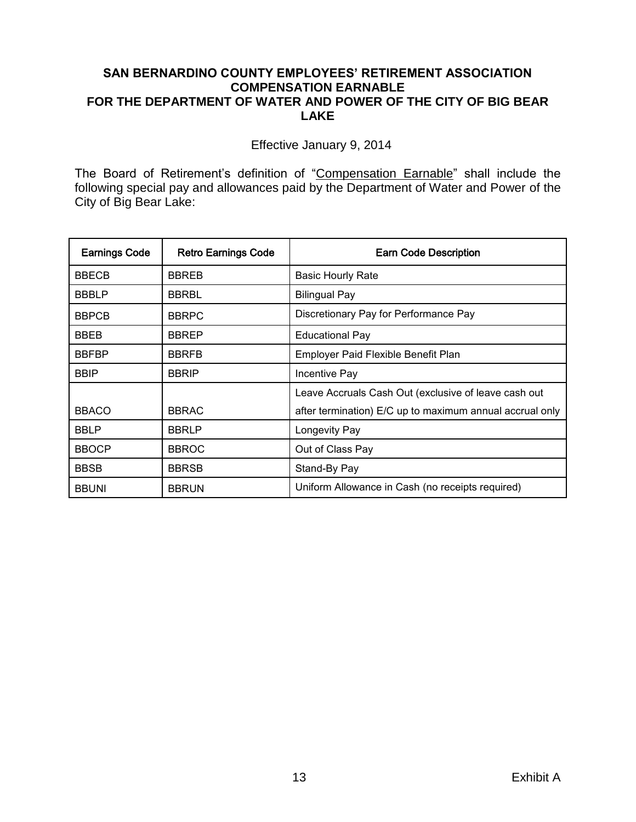#### **SAN BERNARDINO COUNTY EMPLOYEES' RETIREMENT ASSOCIATION COMPENSATION EARNABLE FOR THE DEPARTMENT OF WATER AND POWER OF THE CITY OF BIG BEAR LAKE**

Effective January 9, 2014

The Board of Retirement's definition of "Compensation Earnable" shall include the following special pay and allowances paid by the Department of Water and Power of the City of Big Bear Lake:

| <b>Earnings Code</b> | <b>Retro Earnings Code</b> | <b>Earn Code Description</b>                             |
|----------------------|----------------------------|----------------------------------------------------------|
| <b>BBECB</b>         | <b>BBREB</b>               | <b>Basic Hourly Rate</b>                                 |
| <b>BBBLP</b>         | <b>BBRBL</b>               | <b>Bilingual Pay</b>                                     |
| <b>BBPCB</b>         | <b>BBRPC</b>               | Discretionary Pay for Performance Pay                    |
| BBEB                 | <b>BBREP</b>               | <b>Educational Pay</b>                                   |
| <b>BBFBP</b>         | <b>BBRFB</b>               | Employer Paid Flexible Benefit Plan                      |
| <b>BBIP</b>          | <b>BBRIP</b>               | Incentive Pay                                            |
|                      |                            | Leave Accruals Cash Out (exclusive of leave cash out     |
| <b>BBACO</b>         | <b>BBRAC</b>               | after termination) E/C up to maximum annual accrual only |
| <b>BBLP</b>          | <b>BBRLP</b>               | Longevity Pay                                            |
| <b>BBOCP</b>         | <b>BBROC</b>               | Out of Class Pay                                         |
| <b>BBSB</b>          | <b>BBRSB</b>               | Stand-By Pay                                             |
| <b>BBUNI</b>         | <b>BBRUN</b>               | Uniform Allowance in Cash (no receipts required)         |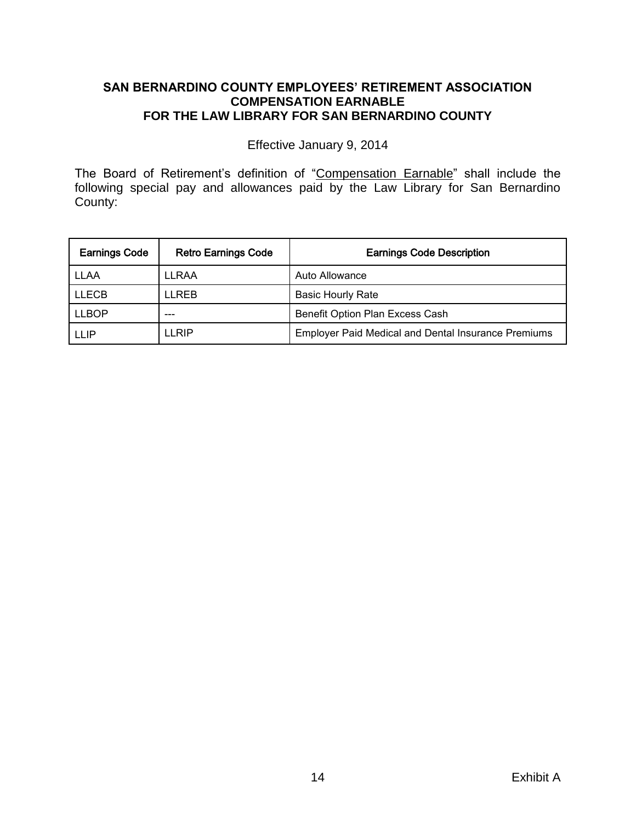# **SAN BERNARDINO COUNTY EMPLOYEES' RETIREMENT ASSOCIATION COMPENSATION EARNABLE FOR THE LAW LIBRARY FOR SAN BERNARDINO COUNTY**

Effective January 9, 2014

The Board of Retirement's definition of "Compensation Earnable" shall include the following special pay and allowances paid by the Law Library for San Bernardino County:

| <b>Earnings Code</b> | <b>Retro Earnings Code</b> | <b>Earnings Code Description</b>                           |
|----------------------|----------------------------|------------------------------------------------------------|
| <b>LLAA</b>          | LLRAA                      | Auto Allowance                                             |
| <b>LLECB</b>         | LI REB                     | <b>Basic Hourly Rate</b>                                   |
| <b>LLBOP</b>         |                            | Benefit Option Plan Excess Cash                            |
| <b>LLIP</b>          | LI RIP                     | <b>Employer Paid Medical and Dental Insurance Premiums</b> |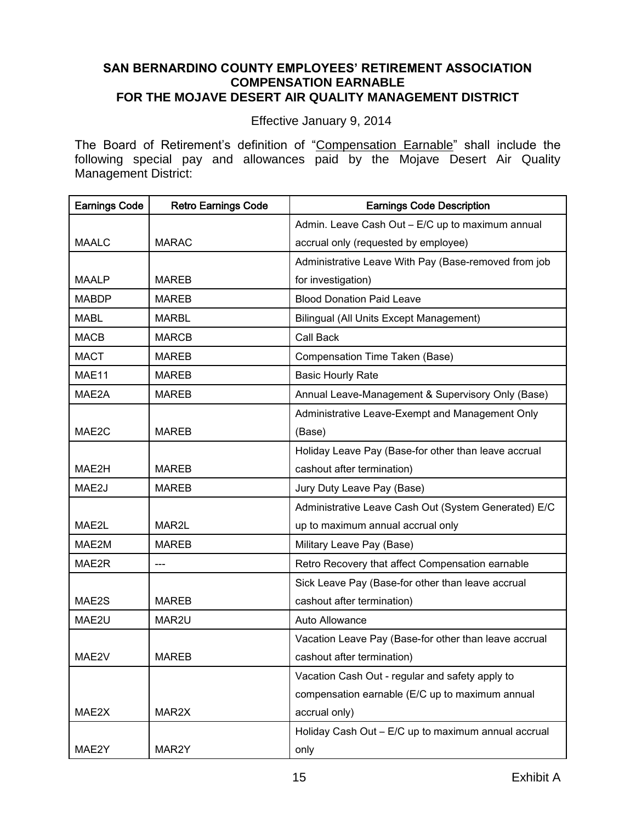### **SAN BERNARDINO COUNTY EMPLOYEES' RETIREMENT ASSOCIATION COMPENSATION EARNABLE FOR THE MOJAVE DESERT AIR QUALITY MANAGEMENT DISTRICT**

Effective January 9, 2014

The Board of Retirement's definition of "Compensation Earnable" shall include the following special pay and allowances paid by the Mojave Desert Air Quality Management District:

| <b>Earnings Code</b> | <b>Retro Earnings Code</b> | <b>Earnings Code Description</b>                      |
|----------------------|----------------------------|-------------------------------------------------------|
|                      |                            | Admin. Leave Cash Out - E/C up to maximum annual      |
| <b>MAALC</b>         | <b>MARAC</b>               | accrual only (requested by employee)                  |
|                      |                            | Administrative Leave With Pay (Base-removed from job  |
| <b>MAALP</b>         | <b>MAREB</b>               | for investigation)                                    |
| <b>MABDP</b>         | <b>MAREB</b>               | <b>Blood Donation Paid Leave</b>                      |
| <b>MABL</b>          | <b>MARBL</b>               | <b>Bilingual (All Units Except Management)</b>        |
| <b>MACB</b>          | <b>MARCB</b>               | Call Back                                             |
| <b>MACT</b>          | <b>MAREB</b>               | Compensation Time Taken (Base)                        |
| MAE11                | <b>MAREB</b>               | <b>Basic Hourly Rate</b>                              |
| MAE2A                | <b>MAREB</b>               | Annual Leave-Management & Supervisory Only (Base)     |
|                      |                            | Administrative Leave-Exempt and Management Only       |
| MAE2C                | <b>MAREB</b>               | (Base)                                                |
|                      |                            | Holiday Leave Pay (Base-for other than leave accrual  |
| MAE2H                | <b>MAREB</b>               | cashout after termination)                            |
| MAE2J                | <b>MAREB</b>               | Jury Duty Leave Pay (Base)                            |
|                      |                            | Administrative Leave Cash Out (System Generated) E/C  |
| MAE2L                | MAR2L                      | up to maximum annual accrual only                     |
| MAE2M                | <b>MAREB</b>               | Military Leave Pay (Base)                             |
| MAE2R                | ---                        | Retro Recovery that affect Compensation earnable      |
|                      |                            | Sick Leave Pay (Base-for other than leave accrual     |
| MAE2S                | <b>MAREB</b>               | cashout after termination)                            |
| MAE2U                | MAR2U                      | Auto Allowance                                        |
|                      |                            | Vacation Leave Pay (Base-for other than leave accrual |
| MAE2V                | <b>MAREB</b>               | cashout after termination)                            |
|                      |                            | Vacation Cash Out - regular and safety apply to       |
|                      |                            | compensation earnable (E/C up to maximum annual       |
| MAE2X                | MAR2X                      | accrual only)                                         |
|                      |                            | Holiday Cash Out - E/C up to maximum annual accrual   |
| MAE2Y                | MAR2Y                      | only                                                  |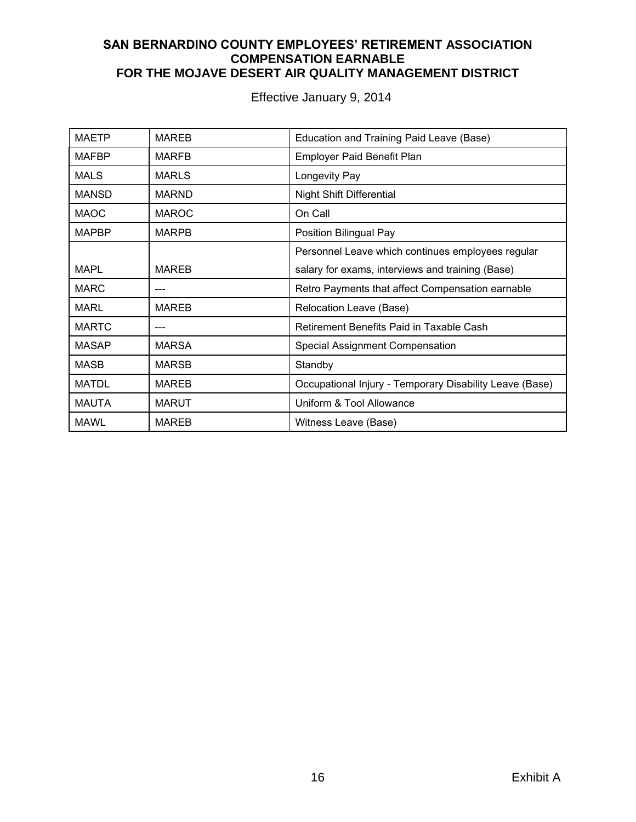#### **SAN BERNARDINO COUNTY EMPLOYEES' RETIREMENT ASSOCIATION COMPENSATION EARNABLE FOR THE MOJAVE DESERT AIR QUALITY MANAGEMENT DISTRICT**

| <b>MAETP</b> | <b>MAREB</b> | Education and Training Paid Leave (Base)                |
|--------------|--------------|---------------------------------------------------------|
| MAFBP        | <b>MARFB</b> | Employer Paid Benefit Plan                              |
| <b>MALS</b>  | <b>MARLS</b> | Longevity Pay                                           |
| <b>MANSD</b> | <b>MARND</b> | <b>Night Shift Differential</b>                         |
| <b>MAOC</b>  | <b>MAROC</b> | On Call                                                 |
| <b>MAPBP</b> | <b>MARPB</b> | Position Bilingual Pay                                  |
|              |              | Personnel Leave which continues employees regular       |
| <b>MAPL</b>  | <b>MAREB</b> | salary for exams, interviews and training (Base)        |
| <b>MARC</b>  |              | Retro Payments that affect Compensation earnable        |
| <b>MARL</b>  | <b>MAREB</b> | Relocation Leave (Base)                                 |
| <b>MARTC</b> |              | Retirement Benefits Paid in Taxable Cash                |
| <b>MASAP</b> | <b>MARSA</b> | Special Assignment Compensation                         |
| <b>MASB</b>  | <b>MARSB</b> | Standby                                                 |
| <b>MATDL</b> | <b>MAREB</b> | Occupational Injury - Temporary Disability Leave (Base) |
| <b>MAUTA</b> | <b>MARUT</b> | Uniform & Tool Allowance                                |
| <b>MAWL</b>  | <b>MAREB</b> | Witness Leave (Base)                                    |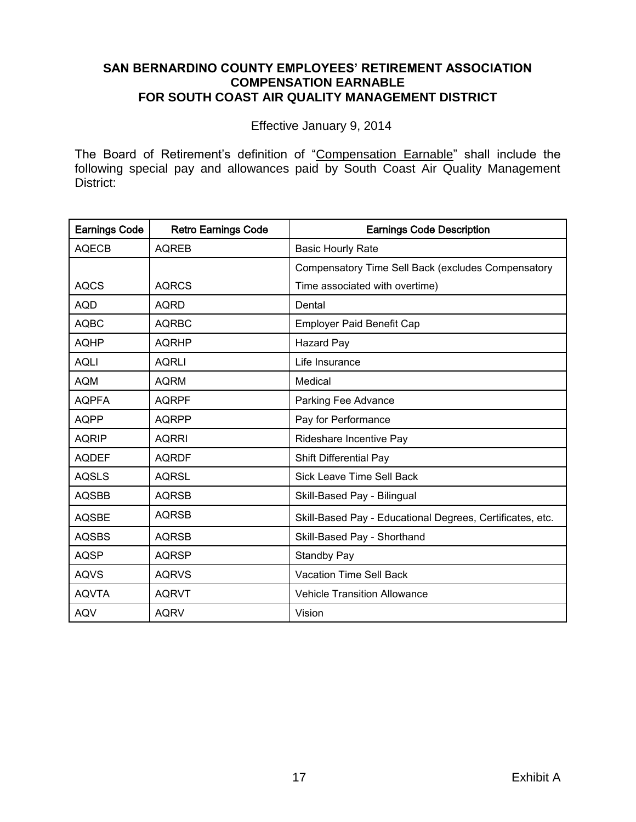#### **SAN BERNARDINO COUNTY EMPLOYEES' RETIREMENT ASSOCIATION COMPENSATION EARNABLE FOR SOUTH COAST AIR QUALITY MANAGEMENT DISTRICT**

Effective January 9, 2014

The Board of Retirement's definition of "Compensation Earnable" shall include the following special pay and allowances paid by South Coast Air Quality Management District:

| <b>Earnings Code</b> | <b>Retro Earnings Code</b> | <b>Earnings Code Description</b>                          |
|----------------------|----------------------------|-----------------------------------------------------------|
| <b>AQECB</b>         | <b>AQREB</b>               | <b>Basic Hourly Rate</b>                                  |
|                      |                            | Compensatory Time Sell Back (excludes Compensatory        |
| <b>AQCS</b>          | <b>AQRCS</b>               | Time associated with overtime)                            |
| <b>AQD</b>           | <b>AQRD</b>                | Dental                                                    |
| <b>AQBC</b>          | <b>AQRBC</b>               | <b>Employer Paid Benefit Cap</b>                          |
| <b>AQHP</b>          | <b>AQRHP</b>               | <b>Hazard Pay</b>                                         |
| <b>AQLI</b>          | <b>AQRLI</b>               | Life Insurance                                            |
| <b>AQM</b>           | <b>AQRM</b>                | Medical                                                   |
| <b>AQPFA</b>         | <b>AQRPF</b>               | Parking Fee Advance                                       |
| <b>AQPP</b>          | <b>AQRPP</b>               | Pay for Performance                                       |
| <b>AQRIP</b>         | <b>AQRRI</b>               | Rideshare Incentive Pay                                   |
| <b>AQDEF</b>         | <b>AQRDF</b>               | Shift Differential Pay                                    |
| <b>AQSLS</b>         | <b>AQRSL</b>               | <b>Sick Leave Time Sell Back</b>                          |
| <b>AQSBB</b>         | <b>AQRSB</b>               | Skill-Based Pay - Bilingual                               |
| <b>AQSBE</b>         | <b>AQRSB</b>               | Skill-Based Pay - Educational Degrees, Certificates, etc. |
| <b>AQSBS</b>         | <b>AQRSB</b>               | Skill-Based Pay - Shorthand                               |
| <b>AQSP</b>          | <b>AQRSP</b>               | <b>Standby Pay</b>                                        |
| <b>AQVS</b>          | <b>AQRVS</b>               | <b>Vacation Time Sell Back</b>                            |
| <b>AQVTA</b>         | <b>AQRVT</b>               | <b>Vehicle Transition Allowance</b>                       |
| <b>AQV</b>           | <b>AQRV</b>                | Vision                                                    |